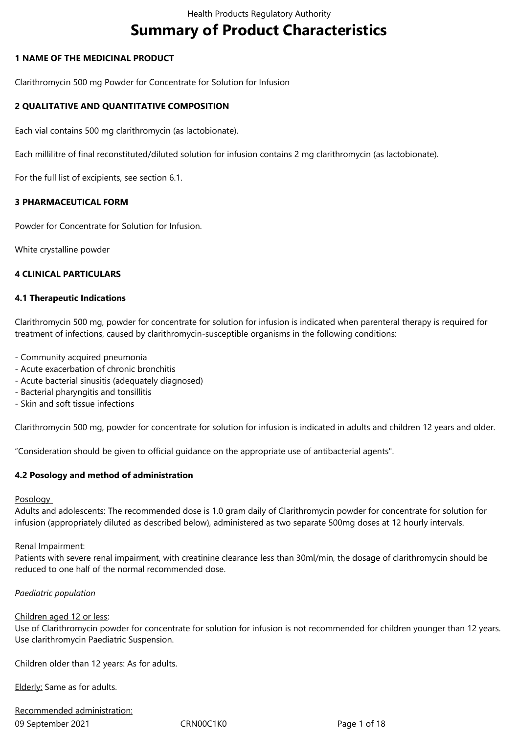# **Summary of Product Characteristics**

## **1 NAME OF THE MEDICINAL PRODUCT**

Clarithromycin 500 mg Powder for Concentrate for Solution for Infusion

## **2 QUALITATIVE AND QUANTITATIVE COMPOSITION**

Each vial contains 500 mg clarithromycin (as lactobionate).

Each millilitre of final reconstituted/diluted solution for infusion contains 2 mg clarithromycin (as lactobionate).

For the full list of excipients, see section 6.1.

## **3 PHARMACEUTICAL FORM**

Powder for Concentrate for Solution for Infusion.

White crystalline powder

#### **4 CLINICAL PARTICULARS**

#### **4.1 Therapeutic Indications**

Clarithromycin 500 mg, powder for concentrate for solution for infusion is indicated when parenteral therapy is required for treatment of infections, caused by clarithromycin-susceptible organisms in the following conditions:

- Community acquired pneumonia
- Acute exacerbation of chronic bronchitis
- Acute bacterial sinusitis (adequately diagnosed)
- Bacterial pharyngitis and tonsillitis
- Skin and soft tissue infections

Clarithromycin 500 mg, powder for concentrate for solution for infusion is indicated in adults and children 12 years and older.

"Consideration should be given to official guidance on the appropriate use of antibacterial agents".

## **4.2 Posology and method of administration**

#### **Posology**

Adults and adolescents: The recommended dose is 1.0 gram daily of Clarithromycin powder for concentrate for solution for infusion (appropriately diluted as described below), administered as two separate 500mg doses at 12 hourly intervals.

#### Renal Impairment:

Patients with severe renal impairment, with creatinine clearance less than 30ml/min, the dosage of clarithromycin should be reduced to one half of the normal recommended dose.

## *Paediatric population*

#### Children aged 12 or less:

Use of Clarithromycin powder for concentrate for solution for infusion is not recommended for children younger than 12 years. Use clarithromycin Paediatric Suspension.

Children older than 12 years: As for adults.

Elderly: Same as for adults.

09 September 2021 CRN00C1K0 Page 1 of 18 Recommended administration: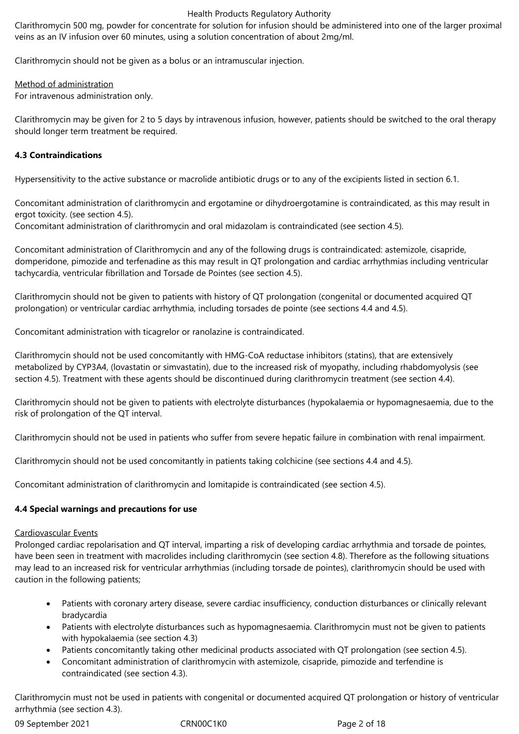Clarithromycin 500 mg, powder for concentrate for solution for infusion should be administered into one of the larger proximal veins as an IV infusion over 60 minutes, using a solution concentration of about 2mg/ml.

Clarithromycin should not be given as a bolus or an intramuscular injection.

## Method of administration

For intravenous administration only.

Clarithromycin may be given for 2 to 5 days by intravenous infusion, however, patients should be switched to the oral therapy should longer term treatment be required.

# **4.3 Contraindications**

Hypersensitivity to the active substance or macrolide antibiotic drugs or to any of the excipients listed in section 6.1.

Concomitant administration of clarithromycin and ergotamine or dihydroergotamine is contraindicated, as this may result in ergot toxicity. (see section 4.5).

Concomitant administration of clarithromycin and oral midazolam is contraindicated (see section 4.5).

Concomitant administration of Clarithromycin and any of the following drugs is contraindicated: astemizole, cisapride, domperidone, pimozide and terfenadine as this may result in QT prolongation and cardiac arrhythmias including ventricular tachycardia, ventricular fibrillation and Torsade de Pointes (see section 4.5).

Clarithromycin should not be given to patients with history of QT prolongation (congenital or documented acquired QT prolongation) or ventricular cardiac arrhythmia, including torsades de pointe (see sections 4.4 and 4.5).

Concomitant administration with ticagrelor or ranolazine is contraindicated.

Clarithromycin should not be used concomitantly with HMG-CoA reductase inhibitors (statins), that are extensively metabolized by CYP3A4, (lovastatin or simvastatin), due to the increased risk of myopathy, including rhabdomyolysis (see section 4.5). Treatment with these agents should be discontinued during clarithromycin treatment (see section 4.4).

Clarithromycin should not be given to patients with electrolyte disturbances (hypokalaemia or hypomagnesaemia, due to the risk of prolongation of the QT interval.

Clarithromycin should not be used in patients who suffer from severe hepatic failure in combination with renal impairment.

Clarithromycin should not be used concomitantly in patients taking colchicine (see sections 4.4 and 4.5).

Concomitant administration of clarithromycin and lomitapide is contraindicated (see section 4.5).

# **4.4 Special warnings and precautions for use**

# Cardiovascular Events

Prolonged cardiac repolarisation and QT interval, imparting a risk of developing cardiac arrhythmia and torsade de pointes, have been seen in treatment with macrolides including clarithromycin (see section 4.8). Therefore as the following situations may lead to an increased risk for ventricular arrhythmias (including torsade de pointes), clarithromycin should be used with caution in the following patients;

- Patients with coronary artery disease, severe cardiac insufficiency, conduction disturbances or clinically relevant bradycardia
- Patients with electrolyte disturbances such as hypomagnesaemia. Clarithromycin must not be given to patients with hypokalaemia (see section 4.3)
- Patients concomitantly taking other medicinal products associated with QT prolongation (see section 4.5).
- Concomitant administration of clarithromycin with astemizole, cisapride, pimozide and terfendine is contraindicated (see section 4.3).

Clarithromycin must not be used in patients with congenital or documented acquired QT prolongation or history of ventricular arrhythmia (see section 4.3).

09 September 2021 CRN00C1K0 Page 2 of 18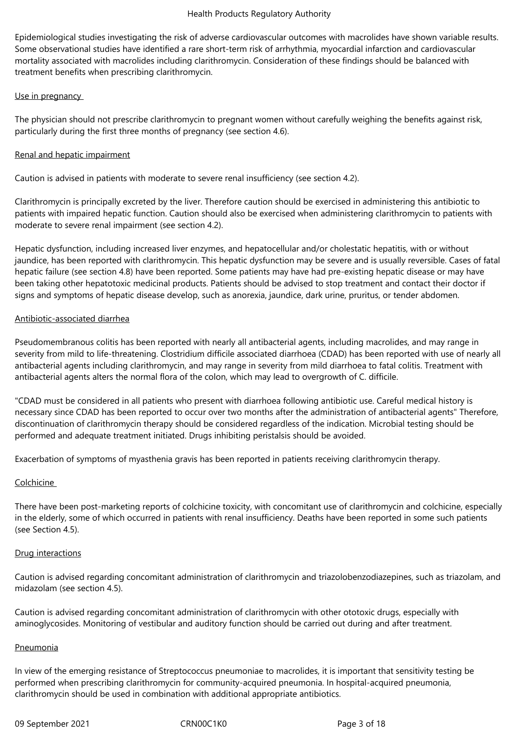Epidemiological studies investigating the risk of adverse cardiovascular outcomes with macrolides have shown variable results. Some observational studies have identified a rare short-term risk of arrhythmia, myocardial infarction and cardiovascular mortality associated with macrolides including clarithromycin. Consideration of these findings should be balanced with treatment benefits when prescribing clarithromycin.

## Use in pregnancy

The physician should not prescribe clarithromycin to pregnant women without carefully weighing the benefits against risk, particularly during the first three months of pregnancy (see section 4.6).

# Renal and hepatic impairment

Caution is advised in patients with moderate to severe renal insufficiency (see section 4.2).

Clarithromycin is principally excreted by the liver. Therefore caution should be exercised in administering this antibiotic to patients with impaired hepatic function. Caution should also be exercised when administering clarithromycin to patients with moderate to severe renal impairment (see section 4.2).

Hepatic dysfunction, including increased liver enzymes, and hepatocellular and/or cholestatic hepatitis, with or without jaundice, has been reported with clarithromycin. This hepatic dysfunction may be severe and is usually reversible. Cases of fatal hepatic failure (see section 4.8) have been reported. Some patients may have had pre-existing hepatic disease or may have been taking other hepatotoxic medicinal products. Patients should be advised to stop treatment and contact their doctor if signs and symptoms of hepatic disease develop, such as anorexia, jaundice, dark urine, pruritus, or tender abdomen.

## Antibiotic-associated diarrhea

Pseudomembranous colitis has been reported with nearly all antibacterial agents, including macrolides, and may range in severity from mild to life-threatening. Clostridium difficile associated diarrhoea (CDAD) has been reported with use of nearly all antibacterial agents including clarithromycin, and may range in severity from mild diarrhoea to fatal colitis. Treatment with antibacterial agents alters the normal flora of the colon, which may lead to overgrowth of C. difficile.

"CDAD must be considered in all patients who present with diarrhoea following antibiotic use. Careful medical history is necessary since CDAD has been reported to occur over two months after the administration of antibacterial agents" Therefore, discontinuation of clarithromycin therapy should be considered regardless of the indication. Microbial testing should be performed and adequate treatment initiated. Drugs inhibiting peristalsis should be avoided.

Exacerbation of symptoms of myasthenia gravis has been reported in patients receiving clarithromycin therapy.

# Colchicine

There have been post-marketing reports of colchicine toxicity, with concomitant use of clarithromycin and colchicine, especially in the elderly, some of which occurred in patients with renal insufficiency. Deaths have been reported in some such patients (see Section 4.5).

## Drug interactions

Caution is advised regarding concomitant administration of clarithromycin and triazolobenzodiazepines, such as triazolam, and midazolam (see section 4.5).

Caution is advised regarding concomitant administration of clarithromycin with other ototoxic drugs, especially with aminoglycosides. Monitoring of vestibular and auditory function should be carried out during and after treatment.

## Pneumonia

In view of the emerging resistance of Streptococcus pneumoniae to macrolides, it is important that sensitivity testing be performed when prescribing clarithromycin for community-acquired pneumonia. In hospital-acquired pneumonia, clarithromycin should be used in combination with additional appropriate antibiotics.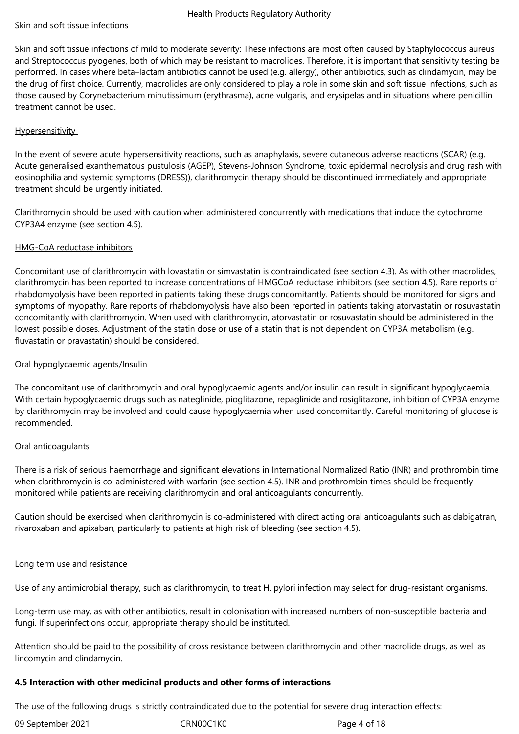## Skin and soft tissue infections

Skin and soft tissue infections of mild to moderate severity: These infections are most often caused by Staphylococcus aureus and Streptococcus pyogenes, both of which may be resistant to macrolides. Therefore, it is important that sensitivity testing be performed. In cases where beta–lactam antibiotics cannot be used (e.g. allergy), other antibiotics, such as clindamycin, may be the drug of first choice. Currently, macrolides are only considered to play a role in some skin and soft tissue infections, such as those caused by Corynebacterium minutissimum (erythrasma), acne vulgaris, and erysipelas and in situations where penicillin treatment cannot be used.

## Hypersensitivity

In the event of severe acute hypersensitivity reactions, such as anaphylaxis, severe cutaneous adverse reactions (SCAR) (e.g. Acute generalised exanthematous pustulosis (AGEP), Stevens-Johnson Syndrome, toxic epidermal necrolysis and drug rash with eosinophilia and systemic symptoms (DRESS)), clarithromycin therapy should be discontinued immediately and appropriate treatment should be urgently initiated.

Clarithromycin should be used with caution when administered concurrently with medications that induce the cytochrome CYP3A4 enzyme (see section 4.5).

## HMG-CoA reductase inhibitors

Concomitant use of clarithromycin with lovastatin or simvastatin is contraindicated (see section 4.3). As with other macrolides, clarithromycin has been reported to increase concentrations of HMGCoA reductase inhibitors (see section 4.5). Rare reports of rhabdomyolysis have been reported in patients taking these drugs concomitantly. Patients should be monitored for signs and symptoms of myopathy. Rare reports of rhabdomyolysis have also been reported in patients taking atorvastatin or rosuvastatin concomitantly with clarithromycin. When used with clarithromycin, atorvastatin or rosuvastatin should be administered in the lowest possible doses. Adjustment of the statin dose or use of a statin that is not dependent on CYP3A metabolism (e.g. fluvastatin or pravastatin) should be considered.

## Oral hypoglycaemic agents/Insulin

The concomitant use of clarithromycin and oral hypoglycaemic agents and/or insulin can result in significant hypoglycaemia. With certain hypoglycaemic drugs such as nateglinide, pioglitazone, repaglinide and rosiglitazone, inhibition of CYP3A enzyme by clarithromycin may be involved and could cause hypoglycaemia when used concomitantly. Careful monitoring of glucose is recommended.

## Oral anticoagulants

There is a risk of serious haemorrhage and significant elevations in International Normalized Ratio (INR) and prothrombin time when clarithromycin is co-administered with warfarin (see section 4.5). INR and prothrombin times should be frequently monitored while patients are receiving clarithromycin and oral anticoagulants concurrently.

Caution should be exercised when clarithromycin is co-administered with direct acting oral anticoagulants such as dabigatran, rivaroxaban and apixaban, particularly to patients at high risk of bleeding (see section 4.5).

## Long term use and resistance

Use of any antimicrobial therapy, such as clarithromycin, to treat H. pylori infection may select for drug-resistant organisms.

Long-term use may, as with other antibiotics, result in colonisation with increased numbers of non-susceptible bacteria and fungi. If superinfections occur, appropriate therapy should be instituted.

Attention should be paid to the possibility of cross resistance between clarithromycin and other macrolide drugs, as well as lincomycin and clindamycin.

## **4.5 Interaction with other medicinal products and other forms of interactions**

The use of the following drugs is strictly contraindicated due to the potential for severe drug interaction effects:

| 09 September 2021 | CRN00C1 |
|-------------------|---------|
|                   |         |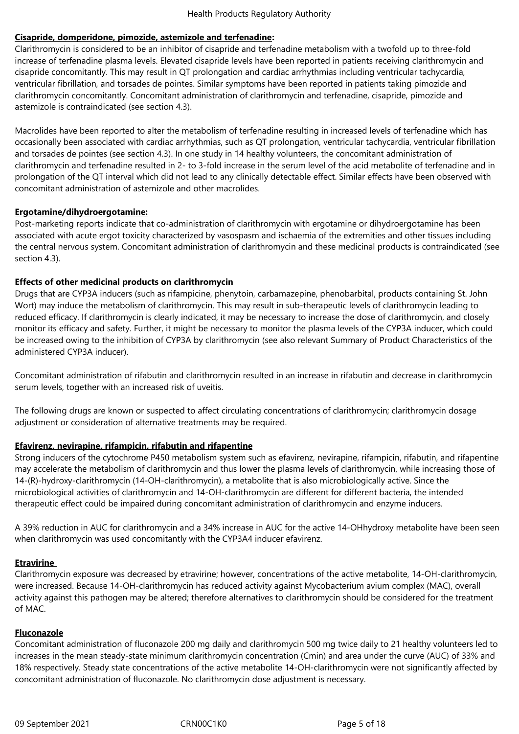# **Cisapride, domperidone, pimozide, astemizole and terfenadine:**

Clarithromycin is considered to be an inhibitor of cisapride and terfenadine metabolism with a twofold up to three-fold increase of terfenadine plasma levels. Elevated cisapride levels have been reported in patients receiving clarithromycin and cisapride concomitantly. This may result in QT prolongation and cardiac arrhythmias including ventricular tachycardia, ventricular fibrillation, and torsades de pointes. Similar symptoms have been reported in patients taking pimozide and clarithromycin concomitantly. Concomitant administration of clarithromycin and terfenadine, cisapride, pimozide and astemizole is contraindicated (see section 4.3).

Macrolides have been reported to alter the metabolism of terfenadine resulting in increased levels of terfenadine which has occasionally been associated with cardiac arrhythmias, such as QT prolongation, ventricular tachycardia, ventricular fibrillation and torsades de pointes (see section 4.3). In one study in 14 healthy volunteers, the concomitant administration of clarithromycin and terfenadine resulted in 2- to 3-fold increase in the serum level of the acid metabolite of terfenadine and in prolongation of the QT interval which did not lead to any clinically detectable effect. Similar effects have been observed with concomitant administration of astemizole and other macrolides.

## **Ergotamine/dihydroergotamine:**

Post-marketing reports indicate that co-administration of clarithromycin with ergotamine or dihydroergotamine has been associated with acute ergot toxicity characterized by vasospasm and ischaemia of the extremities and other tissues including the central nervous system. Concomitant administration of clarithromycin and these medicinal products is contraindicated (see section 4.3).

## **Effects of other medicinal products on clarithromycin**

Drugs that are CYP3A inducers (such as rifampicine, phenytoin, carbamazepine, phenobarbital, products containing St. John Wort) may induce the metabolism of clarithromycin. This may result in sub-therapeutic levels of clarithromycin leading to reduced efficacy. If clarithromycin is clearly indicated, it may be necessary to increase the dose of clarithromycin, and closely monitor its efficacy and safety. Further, it might be necessary to monitor the plasma levels of the CYP3A inducer, which could be increased owing to the inhibition of CYP3A by clarithromycin (see also relevant Summary of Product Characteristics of the administered CYP3A inducer).

Concomitant administration of rifabutin and clarithromycin resulted in an increase in rifabutin and decrease in clarithromycin serum levels, together with an increased risk of uveitis.

The following drugs are known or suspected to affect circulating concentrations of clarithromycin; clarithromycin dosage adjustment or consideration of alternative treatments may be required.

## **Efavirenz, nevirapine, rifampicin, rifabutin and rifapentine**

Strong inducers of the cytochrome P450 metabolism system such as efavirenz, nevirapine, rifampicin, rifabutin, and rifapentine may accelerate the metabolism of clarithromycin and thus lower the plasma levels of clarithromycin, while increasing those of 14-(R)-hydroxy-clarithromycin (14-OH-clarithromycin), a metabolite that is also microbiologically active. Since the microbiological activities of clarithromycin and 14-OH-clarithromycin are different for different bacteria, the intended therapeutic effect could be impaired during concomitant administration of clarithromycin and enzyme inducers.

A 39% reduction in AUC for clarithromycin and a 34% increase in AUC for the active 14-OHhydroxy metabolite have been seen when clarithromycin was used concomitantly with the CYP3A4 inducer efavirenz.

## **Etravirine**

Clarithromycin exposure was decreased by etravirine; however, concentrations of the active metabolite, 14-OH-clarithromycin, were increased. Because 14-OH-clarithromycin has reduced activity against Mycobacterium avium complex (MAC), overall activity against this pathogen may be altered; therefore alternatives to clarithromycin should be considered for the treatment of MAC.

## **Fluconazole**

Concomitant administration of fluconazole 200 mg daily and clarithromycin 500 mg twice daily to 21 healthy volunteers led to increases in the mean steady-state minimum clarithromycin concentration (Cmin) and area under the curve (AUC) of 33% and 18% respectively. Steady state concentrations of the active metabolite 14-OH-clarithromycin were not significantly affected by concomitant administration of fluconazole. No clarithromycin dose adjustment is necessary.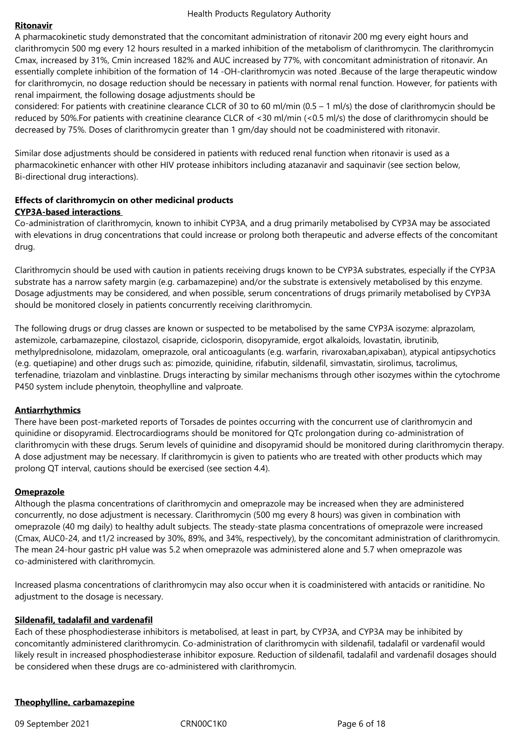#### **Ritonavir**

A pharmacokinetic study demonstrated that the concomitant administration of ritonavir 200 mg every eight hours and clarithromycin 500 mg every 12 hours resulted in a marked inhibition of the metabolism of clarithromycin. The clarithromycin Cmax, increased by 31%, Cmin increased 182% and AUC increased by 77%, with concomitant administration of ritonavir. An essentially complete inhibition of the formation of 14 -OH-clarithromycin was noted .Because of the large therapeutic window for clarithromycin, no dosage reduction should be necessary in patients with normal renal function. However, for patients with renal impairment, the following dosage adjustments should be

considered: For patients with creatinine clearance CLCR of 30 to 60 ml/min (0.5 – 1 ml/s) the dose of clarithromycin should be reduced by 50%.For patients with creatinine clearance CLCR of <30 ml/min (<0.5 ml/s) the dose of clarithromycin should be decreased by 75%. Doses of clarithromycin greater than 1 gm/day should not be coadministered with ritonavir.

Similar dose adjustments should be considered in patients with reduced renal function when ritonavir is used as a pharmacokinetic enhancer with other HIV protease inhibitors including atazanavir and saquinavir (see section below, Bi-directional drug interactions).

## **Effects of clarithromycin on other medicinal products CYP3A-based interactions**

Co-administration of clarithromycin, known to inhibit CYP3A, and a drug primarily metabolised by CYP3A may be associated with elevations in drug concentrations that could increase or prolong both therapeutic and adverse effects of the concomitant drug.

Clarithromycin should be used with caution in patients receiving drugs known to be CYP3A substrates, especially if the CYP3A substrate has a narrow safety margin (e.g. carbamazepine) and/or the substrate is extensively metabolised by this enzyme. Dosage adjustments may be considered, and when possible, serum concentrations of drugs primarily metabolised by CYP3A should be monitored closely in patients concurrently receiving clarithromycin.

The following drugs or drug classes are known or suspected to be metabolised by the same CYP3A isozyme: alprazolam, astemizole, carbamazepine, cilostazol, cisapride, ciclosporin, disopyramide, ergot alkaloids, lovastatin, ibrutinib, methylprednisolone, midazolam, omeprazole, oral anticoagulants (e.g. warfarin, rivaroxaban,apixaban), atypical antipsychotics (e.g. quetiapine) and other drugs such as: pimozide, quinidine, rifabutin, sildenafil, simvastatin, sirolimus, tacrolimus, terfenadine, triazolam and vinblastine. Drugs interacting by similar mechanisms through other isozymes within the cytochrome P450 system include phenytoin, theophylline and valproate.

## **Antiarrhythmics**

There have been post-marketed reports of Torsades de pointes occurring with the concurrent use of clarithromycin and quinidine or disopyramid. Electrocardiograms should be monitored for QTc prolongation during co-administration of clarithromycin with these drugs. Serum levels of quinidine and disopyramid should be monitored during clarithromycin therapy. A dose adjustment may be necessary. If clarithromycin is given to patients who are treated with other products which may prolong QT interval, cautions should be exercised (see section 4.4).

## **Omeprazole**

Although the plasma concentrations of clarithromycin and omeprazole may be increased when they are administered concurrently, no dose adjustment is necessary. Clarithromycin (500 mg every 8 hours) was given in combination with omeprazole (40 mg daily) to healthy adult subjects. The steady-state plasma concentrations of omeprazole were increased (Cmax, AUC0-24, and t1/2 increased by 30%, 89%, and 34%, respectively), by the concomitant administration of clarithromycin. The mean 24-hour gastric pH value was 5.2 when omeprazole was administered alone and 5.7 when omeprazole was co-administered with clarithromycin.

Increased plasma concentrations of clarithromycin may also occur when it is coadministered with antacids or ranitidine. No adjustment to the dosage is necessary.

## **Sildenafil, tadalafil and vardenafil**

Each of these phosphodiesterase inhibitors is metabolised, at least in part, by CYP3A, and CYP3A may be inhibited by concomitantly administered clarithromycin. Co-administration of clarithromycin with sildenafil, tadalafil or vardenafil would likely result in increased phosphodiesterase inhibitor exposure. Reduction of sildenafil, tadalafil and vardenafil dosages should be considered when these drugs are co-administered with clarithromycin.

# **Theophylline, carbamazepine**

09 September 2021 CRN00C1K0 Page 6 of 18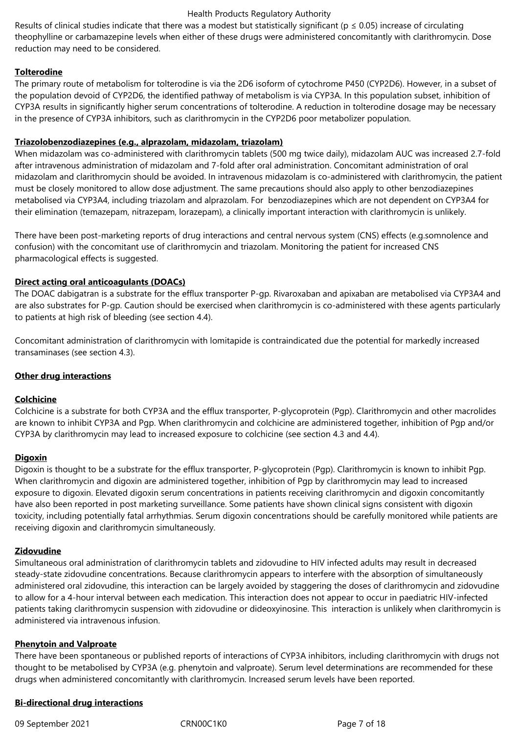Results of clinical studies indicate that there was a modest but statistically significant ( $p \le 0.05$ ) increase of circulating theophylline or carbamazepine levels when either of these drugs were administered concomitantly with clarithromycin. Dose reduction may need to be considered.

# **Tolterodine**

The primary route of metabolism for tolterodine is via the 2D6 isoform of cytochrome P450 (CYP2D6). However, in a subset of the population devoid of CYP2D6, the identified pathway of metabolism is via CYP3A. In this population subset, inhibition of CYP3A results in significantly higher serum concentrations of tolterodine. A reduction in tolterodine dosage may be necessary in the presence of CYP3A inhibitors, such as clarithromycin in the CYP2D6 poor metabolizer population.

## **Triazolobenzodiazepines (e.g., alprazolam, midazolam, triazolam)**

When midazolam was co-administered with clarithromycin tablets (500 mg twice daily), midazolam AUC was increased 2.7-fold after intravenous administration of midazolam and 7-fold after oral administration. Concomitant administration of oral midazolam and clarithromycin should be avoided. In intravenous midazolam is co-administered with clarithromycin, the patient must be closely monitored to allow dose adjustment. The same precautions should also apply to other benzodiazepines metabolised via CYP3A4, including triazolam and alprazolam. For benzodiazepines which are not dependent on CYP3A4 for their elimination (temazepam, nitrazepam, lorazepam), a clinically important interaction with clarithromycin is unlikely.

There have been post-marketing reports of drug interactions and central nervous system (CNS) effects (e.g.somnolence and confusion) with the concomitant use of clarithromycin and triazolam. Monitoring the patient for increased CNS pharmacological effects is suggested.

# **Direct acting oral anticoagulants (DOACs)**

The DOAC dabigatran is a substrate for the efflux transporter P-gp. Rivaroxaban and apixaban are metabolised via CYP3A4 and are also substrates for P-gp. Caution should be exercised when clarithromycin is co-administered with these agents particularly to patients at high risk of bleeding (see section 4.4).

Concomitant administration of clarithromycin with lomitapide is contraindicated due the potential for markedly increased transaminases (see section 4.3).

## **Other drug interactions**

## **Colchicine**

Colchicine is a substrate for both CYP3A and the efflux transporter, P-glycoprotein (Pgp). Clarithromycin and other macrolides are known to inhibit CYP3A and Pgp. When clarithromycin and colchicine are administered together, inhibition of Pgp and/or CYP3A by clarithromycin may lead to increased exposure to colchicine (see section 4.3 and 4.4).

## **Digoxin**

Digoxin is thought to be a substrate for the efflux transporter, P-glycoprotein (Pgp). Clarithromycin is known to inhibit Pgp. When clarithromycin and digoxin are administered together, inhibition of Pgp by clarithromycin may lead to increased exposure to digoxin. Elevated digoxin serum concentrations in patients receiving clarithromycin and digoxin concomitantly have also been reported in post marketing surveillance. Some patients have shown clinical signs consistent with digoxin toxicity, including potentially fatal arrhythmias. Serum digoxin concentrations should be carefully monitored while patients are receiving digoxin and clarithromycin simultaneously.

## **Zidovudine**

Simultaneous oral administration of clarithromycin tablets and zidovudine to HIV infected adults may result in decreased steady-state zidovudine concentrations. Because clarithromycin appears to interfere with the absorption of simultaneously administered oral zidovudine, this interaction can be largely avoided by staggering the doses of clarithromycin and zidovudine to allow for a 4-hour interval between each medication. This interaction does not appear to occur in paediatric HIV-infected patients taking clarithromycin suspension with zidovudine or dideoxyinosine. This interaction is unlikely when clarithromycin is administered via intravenous infusion.

## **Phenytoin and Valproate**

There have been spontaneous or published reports of interactions of CYP3A inhibitors, including clarithromycin with drugs not thought to be metabolised by CYP3A (e.g. phenytoin and valproate). Serum level determinations are recommended for these drugs when administered concomitantly with clarithromycin. Increased serum levels have been reported.

# **Bi-directional drug interactions**

09 September 2021 CRN00C1K0 Page 7 of 18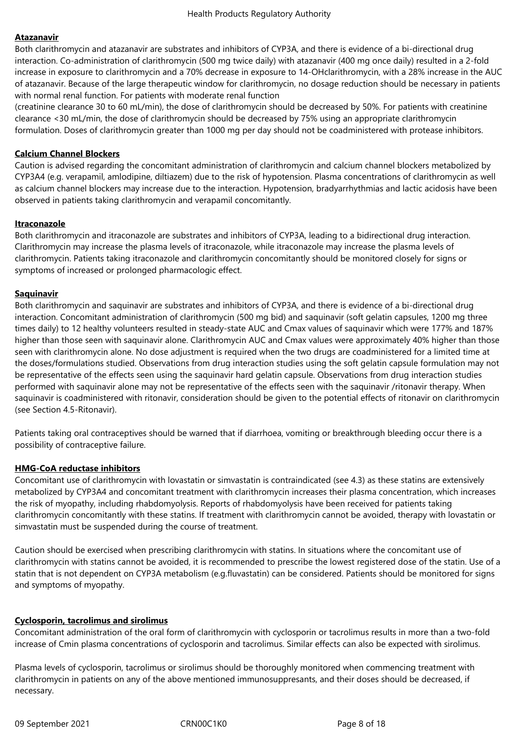## **Atazanavir**

Both clarithromycin and atazanavir are substrates and inhibitors of CYP3A, and there is evidence of a bi-directional drug interaction. Co-administration of clarithromycin (500 mg twice daily) with atazanavir (400 mg once daily) resulted in a 2-fold increase in exposure to clarithromycin and a 70% decrease in exposure to 14-OHclarithromycin, with a 28% increase in the AUC of atazanavir. Because of the large therapeutic window for clarithromycin, no dosage reduction should be necessary in patients with normal renal function. For patients with moderate renal function

(creatinine clearance 30 to 60 mL/min), the dose of clarithromycin should be decreased by 50%. For patients with creatinine clearance <30 mL/min, the dose of clarithromycin should be decreased by 75% using an appropriate clarithromycin formulation. Doses of clarithromycin greater than 1000 mg per day should not be coadministered with protease inhibitors.

## **Calcium Channel Blockers**

Caution is advised regarding the concomitant administration of clarithromycin and calcium channel blockers metabolized by CYP3A4 (e.g. verapamil, amlodipine, diltiazem) due to the risk of hypotension. Plasma concentrations of clarithromycin as well as calcium channel blockers may increase due to the interaction. Hypotension, bradyarrhythmias and lactic acidosis have been observed in patients taking clarithromycin and verapamil concomitantly.

## **Itraconazole**

Both clarithromycin and itraconazole are substrates and inhibitors of CYP3A, leading to a bidirectional drug interaction. Clarithromycin may increase the plasma levels of itraconazole, while itraconazole may increase the plasma levels of clarithromycin. Patients taking itraconazole and clarithromycin concomitantly should be monitored closely for signs or symptoms of increased or prolonged pharmacologic effect.

## **Saquinavir**

Both clarithromycin and saquinavir are substrates and inhibitors of CYP3A, and there is evidence of a bi-directional drug interaction. Concomitant administration of clarithromycin (500 mg bid) and saquinavir (soft gelatin capsules, 1200 mg three times daily) to 12 healthy volunteers resulted in steady-state AUC and Cmax values of saquinavir which were 177% and 187% higher than those seen with saquinavir alone. Clarithromycin AUC and Cmax values were approximately 40% higher than those seen with clarithromycin alone. No dose adjustment is required when the two drugs are coadministered for a limited time at the doses/formulations studied. Observations from drug interaction studies using the soft gelatin capsule formulation may not be representative of the effects seen using the saquinavir hard gelatin capsule. Observations from drug interaction studies performed with saquinavir alone may not be representative of the effects seen with the saquinavir /ritonavir therapy. When saquinavir is coadministered with ritonavir, consideration should be given to the potential effects of ritonavir on clarithromycin (see Section 4.5-Ritonavir).

Patients taking oral contraceptives should be warned that if diarrhoea, vomiting or breakthrough bleeding occur there is a possibility of contraceptive failure.

# **HMG-CoA reductase inhibitors**

Concomitant use of clarithromycin with lovastatin or simvastatin is contraindicated (see 4.3) as these statins are extensively metabolized by CYP3A4 and concomitant treatment with clarithromycin increases their plasma concentration, which increases the risk of myopathy, including rhabdomyolysis. Reports of rhabdomyolysis have been received for patients taking clarithromycin concomitantly with these statins. If treatment with clarithromycin cannot be avoided, therapy with lovastatin or simvastatin must be suspended during the course of treatment.

Caution should be exercised when prescribing clarithromycin with statins. In situations where the concomitant use of clarithromycin with statins cannot be avoided, it is recommended to prescribe the lowest registered dose of the statin. Use of a statin that is not dependent on CYP3A metabolism (e.g.fluvastatin) can be considered. Patients should be monitored for signs and symptoms of myopathy.

# **Cyclosporin, tacrolimus and sirolimus**

Concomitant administration of the oral form of clarithromycin with cyclosporin or tacrolimus results in more than a two-fold increase of Cmin plasma concentrations of cyclosporin and tacrolimus. Similar effects can also be expected with sirolimus.

Plasma levels of cyclosporin, tacrolimus or sirolimus should be thoroughly monitored when commencing treatment with clarithromycin in patients on any of the above mentioned immunosuppresants, and their doses should be decreased, if necessary.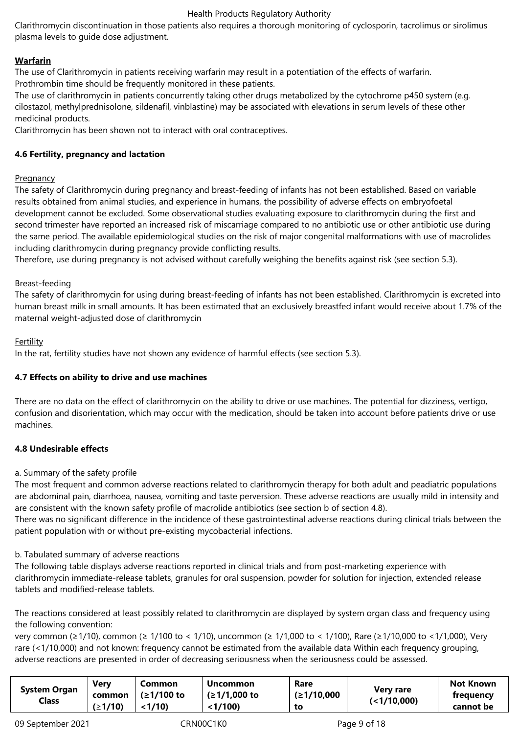Clarithromycin discontinuation in those patients also requires a thorough monitoring of cyclosporin, tacrolimus or sirolimus plasma levels to guide dose adjustment.

# **Warfarin**

The use of Clarithromycin in patients receiving warfarin may result in a potentiation of the effects of warfarin. Prothrombin time should be frequently monitored in these patients.

The use of clarithromycin in patients concurrently taking other drugs metabolized by the cytochrome p450 system (e.g. cilostazol, methylprednisolone, sildenafil, vinblastine) may be associated with elevations in serum levels of these other medicinal products.

Clarithromycin has been shown not to interact with oral contraceptives.

# **4.6 Fertility, pregnancy and lactation**

# Pregnancy

The safety of Clarithromycin during pregnancy and breast-feeding of infants has not been established. Based on variable results obtained from animal studies, and experience in humans, the possibility of adverse effects on embryofoetal development cannot be excluded. Some observational studies evaluating exposure to clarithromycin during the first and second trimester have reported an increased risk of miscarriage compared to no antibiotic use or other antibiotic use during the same period. The available epidemiological studies on the risk of major congenital malformations with use of macrolides including clarithromycin during pregnancy provide conflicting results.

Therefore, use during pregnancy is not advised without carefully weighing the benefits against risk (see section 5.3).

# Breast-feeding

The safety of clarithromycin for using during breast-feeding of infants has not been established. Clarithromycin is excreted into human breast milk in small amounts. It has been estimated that an exclusively breastfed infant would receive about 1.7% of the maternal weight-adjusted dose of clarithromycin

## Fertility

In the rat, fertility studies have not shown any evidence of harmful effects (see section 5.3).

# **4.7 Effects on ability to drive and use machines**

There are no data on the effect of clarithromycin on the ability to drive or use machines. The potential for dizziness, vertigo, confusion and disorientation, which may occur with the medication, should be taken into account before patients drive or use machines.

# **4.8 Undesirable effects**

# a. Summary of the safety profile

The most frequent and common adverse reactions related to clarithromycin therapy for both adult and peadiatric populations are abdominal pain, diarrhoea, nausea, vomiting and taste perversion. These adverse reactions are usually mild in intensity and are consistent with the known safety profile of macrolide antibiotics (see section b of section 4.8).

There was no significant difference in the incidence of these gastrointestinal adverse reactions during clinical trials between the patient population with or without pre-existing mycobacterial infections.

## b. Tabulated summary of adverse reactions

The following table displays adverse reactions reported in clinical trials and from post-marketing experience with clarithromycin immediate-release tablets, granules for oral suspension, powder for solution for injection, extended release tablets and modified-release tablets.

The reactions considered at least possibly related to clarithromycin are displayed by system organ class and frequency using the following convention:

very common (≥1/10), common (≥ 1/100 to < 1/10), uncommon (≥ 1/1,000 to < 1/100), Rare (≥1/10,000 to <1/1,000), Very rare (<1/10,000) and not known: frequency cannot be estimated from the available data Within each frequency grouping, adverse reactions are presented in order of decreasing seriousness when the seriousness could be assessed.

| (21/10)<br>$'$ /10)<br><1/100)<br>cannot be<br>to | Verv<br><b>System Organ</b><br>common<br><b>Class</b> | Common<br>(≥1/100 to | <b>Uncommon</b><br>(≥1/1,000 to | Rare<br>(≥1/10,000 | Very rare<br>(<1/10,000) | <b>Not Known</b><br>frequency |
|---------------------------------------------------|-------------------------------------------------------|----------------------|---------------------------------|--------------------|--------------------------|-------------------------------|
|---------------------------------------------------|-------------------------------------------------------|----------------------|---------------------------------|--------------------|--------------------------|-------------------------------|

09 September 2021 CRN00C1K0 Page 9 of 18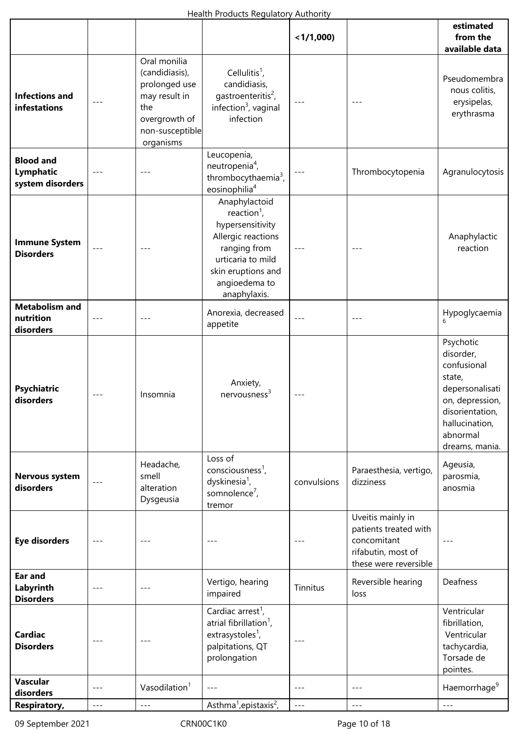|                                                   |       |                                                                                                                          |                                                                                                                                                                                | < 1/1,000   |                                                                                                          | estimated<br>from the<br>available data                                                                                                                  |  |  |
|---------------------------------------------------|-------|--------------------------------------------------------------------------------------------------------------------------|--------------------------------------------------------------------------------------------------------------------------------------------------------------------------------|-------------|----------------------------------------------------------------------------------------------------------|----------------------------------------------------------------------------------------------------------------------------------------------------------|--|--|
| <b>Infections and</b><br>infestations             |       | Oral monilia<br>(candidiasis),<br>prolonged use<br>may result in<br>the<br>overgrowth of<br>non-susceptible<br>organisms | Cellulitis <sup>1</sup> ,<br>candidiasis,<br>gastroenteritis <sup>2</sup> ,<br>infection <sup>3</sup> , vaginal<br>infection                                                   |             |                                                                                                          |                                                                                                                                                          |  |  |
| <b>Blood and</b><br>Lymphatic<br>system disorders |       |                                                                                                                          | Leucopenia,<br>neutropenia <sup>4</sup> ,<br>thrombocythaemia <sup>3</sup> ,<br>eosinophilia <sup>4</sup>                                                                      | $---$       | Thrombocytopenia                                                                                         | Agranulocytosis                                                                                                                                          |  |  |
| <b>Immune System</b><br><b>Disorders</b>          | $---$ |                                                                                                                          | Anaphylactoid<br>reaction <sup>1</sup> ,<br>hypersensitivity<br>Allergic reactions<br>ranging from<br>urticaria to mild<br>skin eruptions and<br>angioedema to<br>anaphylaxis. |             |                                                                                                          | Anaphylactic<br>reaction                                                                                                                                 |  |  |
| <b>Metabolism and</b><br>nutrition<br>disorders   | $---$ | $---$                                                                                                                    | Anorexia, decreased<br>appetite                                                                                                                                                | $-- -$      | $---$                                                                                                    | Hypoglycaemia<br>6                                                                                                                                       |  |  |
| <b>Psychiatric</b><br>disorders                   |       | Insomnia                                                                                                                 | Anxiety,<br>$n$ ervousness <sup>3</sup>                                                                                                                                        |             |                                                                                                          | Psychotic<br>disorder,<br>confusional<br>state,<br>depersonalisati<br>on, depression,<br>disorientation,<br>hallucination,<br>abnormal<br>dreams, mania. |  |  |
| Nervous system<br>disorders                       | $---$ | Headache,<br>smell<br>alteration<br>Dysgeusia                                                                            | Loss of<br>consciousness <sup>1</sup> ,<br>dyskinesia <sup>1</sup> ,<br>somnolence <sup>7</sup> ,<br>tremor                                                                    | convulsions | Paraesthesia, vertigo,<br>dizziness                                                                      | Ageusia,<br>parosmia,<br>anosmia                                                                                                                         |  |  |
| <b>Eye disorders</b>                              | $---$ | $---$                                                                                                                    |                                                                                                                                                                                |             | Uveitis mainly in<br>patients treated with<br>concomitant<br>rifabutin, most of<br>these were reversible |                                                                                                                                                          |  |  |
| <b>Ear and</b><br>Labyrinth<br><b>Disorders</b>   | $---$ | $---$                                                                                                                    | Vertigo, hearing<br>impaired                                                                                                                                                   | Tinnitus    | Reversible hearing<br>loss                                                                               | Deafness                                                                                                                                                 |  |  |
| <b>Cardiac</b><br><b>Disorders</b>                |       |                                                                                                                          | Cardiac arrest <sup>1</sup> ,<br>atrial fibrillation <sup>1</sup> ,<br>extrasystoles <sup>1</sup> ,<br>palpitations, QT<br>prolongation                                        | ---         |                                                                                                          | Ventricular<br>fibrillation,<br>Ventricular<br>tachycardia,<br>Torsade de<br>pointes.                                                                    |  |  |
| Vascular<br>disorders                             | $---$ | Vasodilation <sup>1</sup>                                                                                                | $---$                                                                                                                                                                          | ---         | $---$                                                                                                    | Haemorrhage <sup>9</sup>                                                                                                                                 |  |  |
| <b>Respiratory,</b>                               | $---$ | $---$                                                                                                                    | Asthma <sup>1</sup> , epistaxis <sup>2</sup> ,                                                                                                                                 | $---$       | $---$                                                                                                    | $---$                                                                                                                                                    |  |  |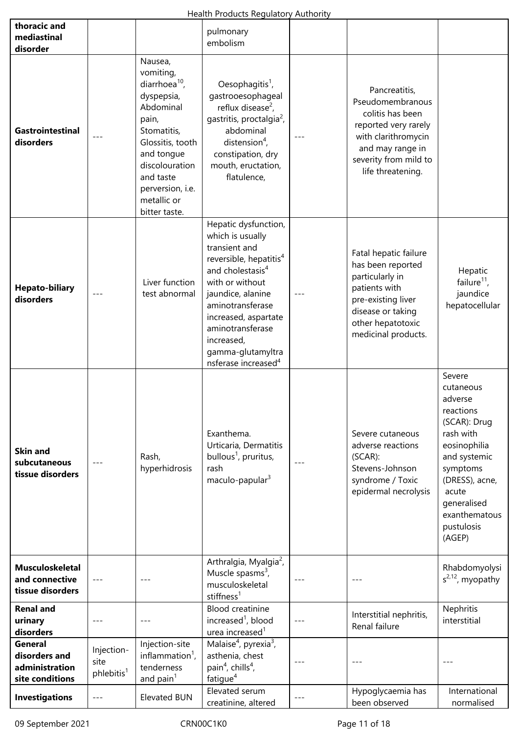|                                                                      |                                              |                                                                                                                                                                                                                     | Health Products Regulatory Authority                                                                                                                                                                                                                                                                          |       |                                                                                                                                                                        |                                                                                                                                                                                                         |
|----------------------------------------------------------------------|----------------------------------------------|---------------------------------------------------------------------------------------------------------------------------------------------------------------------------------------------------------------------|---------------------------------------------------------------------------------------------------------------------------------------------------------------------------------------------------------------------------------------------------------------------------------------------------------------|-------|------------------------------------------------------------------------------------------------------------------------------------------------------------------------|---------------------------------------------------------------------------------------------------------------------------------------------------------------------------------------------------------|
| thoracic and<br>mediastinal<br>disorder                              |                                              |                                                                                                                                                                                                                     | pulmonary<br>embolism                                                                                                                                                                                                                                                                                         |       |                                                                                                                                                                        |                                                                                                                                                                                                         |
| <b>Gastrointestinal</b><br>disorders                                 | $---$                                        | Nausea,<br>vomiting,<br>diarrhoea $^{10}$ ,<br>dyspepsia,<br>Abdominal<br>pain,<br>Stomatitis,<br>Glossitis, tooth<br>and tongue<br>discolouration<br>and taste<br>perversion, i.e.<br>metallic or<br>bitter taste. | Oesophagitis <sup>1</sup> ,<br>gastrooesophageal<br>reflux disease <sup>2</sup> ,<br>gastritis, proctalgia <sup>2</sup> ,<br>abdominal<br>distension <sup>4</sup> ,<br>constipation, dry<br>mouth, eructation,<br>flatulence,                                                                                 |       | Pancreatitis,<br>Pseudomembranous<br>colitis has been<br>reported very rarely<br>with clarithromycin<br>and may range in<br>severity from mild to<br>life threatening. |                                                                                                                                                                                                         |
| <b>Hepato-biliary</b><br>disorders                                   | $-- -$                                       | Liver function<br>test abnormal                                                                                                                                                                                     | Hepatic dysfunction,<br>which is usually<br>transient and<br>reversible, hepatitis <sup>4</sup><br>and cholestasis <sup>4</sup><br>with or without<br>jaundice, alanine<br>aminotransferase<br>increased, aspartate<br>aminotransferase<br>increased,<br>gamma-glutamyltra<br>nsferase increased <sup>4</sup> |       | Fatal hepatic failure<br>has been reported<br>particularly in<br>patients with<br>pre-existing liver<br>disease or taking<br>other hepatotoxic<br>medicinal products.  | Hepatic<br>failure $^{11}$ ,<br>jaundice<br>hepatocellular                                                                                                                                              |
| <b>Skin and</b><br>subcutaneous<br>tissue disorders                  |                                              | Rash,<br>hyperhidrosis                                                                                                                                                                                              | Exanthema.<br>Urticaria, Dermatitis<br>bullous <sup>1</sup> , pruritus,<br>rash<br>maculo-papular <sup>3</sup>                                                                                                                                                                                                |       | Severe cutaneous<br>adverse reactions<br>$(SCAR)$ :<br>Stevens-Johnson<br>syndrome / Toxic<br>epidermal necrolysis                                                     | Severe<br>cutaneous<br>adverse<br>reactions<br>(SCAR): Drug<br>rash with<br>eosinophilia<br>and systemic<br>symptoms<br>(DRESS), acne,<br>acute<br>generalised<br>exanthematous<br>pustulosis<br>(AGEP) |
| <b>Musculoskeletal</b><br>and connective<br>tissue disorders         | $- - -$                                      | $---$                                                                                                                                                                                                               | Arthralgia, Myalgia <sup>2</sup> ,<br>Muscle spasms $3$ ,<br>musculoskeletal<br>stiffness <sup>1</sup>                                                                                                                                                                                                        | $---$ | $---$                                                                                                                                                                  | Rhabdomyolysi<br>$s^{2,12}$ , myopathy                                                                                                                                                                  |
| <b>Renal and</b><br>urinary<br>disorders                             | $-- -$                                       | $---$                                                                                                                                                                                                               | <b>Blood creatinine</b><br>increased <sup>1</sup> , blood<br>urea increased <sup>1</sup>                                                                                                                                                                                                                      | $---$ | Interstitial nephritis,<br>Renal failure                                                                                                                               | Nephritis<br>interstitial                                                                                                                                                                               |
| <b>General</b><br>disorders and<br>administration<br>site conditions | Injection-<br>site<br>phlebitis <sup>1</sup> | Injection-site<br>inflammation <sup>1</sup> ,<br>tenderness<br>and $\text{pain}^1$                                                                                                                                  | Malaise <sup>4</sup> , pyrexia <sup>3</sup> ,<br>asthenia, chest<br>pain <sup>4</sup> , chills <sup>4</sup> ,<br>fatigue <sup>4</sup>                                                                                                                                                                         |       |                                                                                                                                                                        |                                                                                                                                                                                                         |
| <b>Investigations</b>                                                | $---$                                        | <b>Elevated BUN</b>                                                                                                                                                                                                 | Elevated serum<br>creatinine, altered                                                                                                                                                                                                                                                                         |       | Hypoglycaemia has<br>been observed                                                                                                                                     | International<br>normalised                                                                                                                                                                             |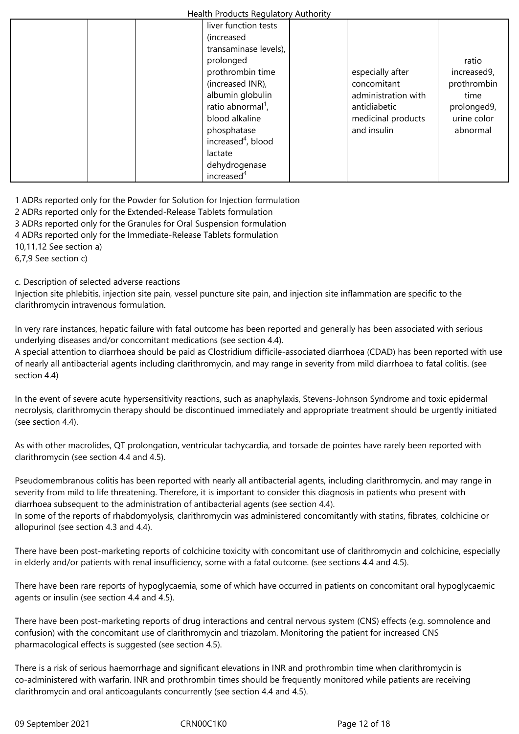| - 7 - - - -                    |                     |             |
|--------------------------------|---------------------|-------------|
| liver function tests           |                     |             |
| (increased                     |                     |             |
| transaminase levels),          |                     |             |
| prolonged                      |                     | ratio       |
| prothrombin time               | especially after    | increased9, |
| (increased INR),               | concomitant         | prothrombin |
| albumin globulin               | administration with | time        |
| ratio abnormal <sup>1</sup> ,  | antidiabetic        | prolonged9, |
| blood alkaline                 | medicinal products  | urine color |
| phosphatase                    | and insulin         | abnormal    |
| increased <sup>4</sup> , blood |                     |             |
| lactate                        |                     |             |
| dehydrogenase                  |                     |             |
| increased <sup>4</sup>         |                     |             |

1 ADRs reported only for the Powder for Solution for Injection formulation

2 ADRs reported only for the Extended-Release Tablets formulation

3 ADRs reported only for the Granules for Oral Suspension formulation

4 ADRs reported only for the Immediate-Release Tablets formulation

10,11,12 See section a)

6,7,9 See section c)

c. Description of selected adverse reactions

Injection site phlebitis, injection site pain, vessel puncture site pain, and injection site inflammation are specific to the clarithromycin intravenous formulation.

In very rare instances, hepatic failure with fatal outcome has been reported and generally has been associated with serious underlying diseases and/or concomitant medications (see section 4.4).

A special attention to diarrhoea should be paid as Clostridium difficile-associated diarrhoea (CDAD) has been reported with use of nearly all antibacterial agents including clarithromycin, and may range in severity from mild diarrhoea to fatal colitis. (see section 4.4)

In the event of severe acute hypersensitivity reactions, such as anaphylaxis, Stevens-Johnson Syndrome and toxic epidermal necrolysis, clarithromycin therapy should be discontinued immediately and appropriate treatment should be urgently initiated (see section 4.4).

As with other macrolides, QT prolongation, ventricular tachycardia, and torsade de pointes have rarely been reported with clarithromycin (see section 4.4 and 4.5).

Pseudomembranous colitis has been reported with nearly all antibacterial agents, including clarithromycin, and may range in severity from mild to life threatening. Therefore, it is important to consider this diagnosis in patients who present with diarrhoea subsequent to the administration of antibacterial agents (see section 4.4). In some of the reports of rhabdomyolysis, clarithromycin was administered concomitantly with statins, fibrates, colchicine or allopurinol (see section 4.3 and 4.4).

There have been post-marketing reports of colchicine toxicity with concomitant use of clarithromycin and colchicine, especially in elderly and/or patients with renal insufficiency, some with a fatal outcome. (see sections 4.4 and 4.5).

There have been rare reports of hypoglycaemia, some of which have occurred in patients on concomitant oral hypoglycaemic agents or insulin (see section 4.4 and 4.5).

There have been post-marketing reports of drug interactions and central nervous system (CNS) effects (e.g. somnolence and confusion) with the concomitant use of clarithromycin and triazolam. Monitoring the patient for increased CNS pharmacological effects is suggested (see section 4.5).

There is a risk of serious haemorrhage and significant elevations in INR and prothrombin time when clarithromycin is co-administered with warfarin. INR and prothrombin times should be frequently monitored while patients are receiving clarithromycin and oral anticoagulants concurrently (see section 4.4 and 4.5).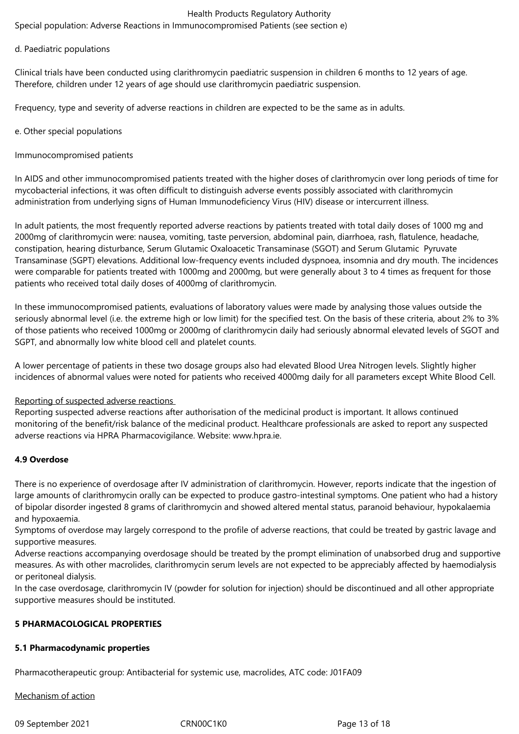Special population: Adverse Reactions in Immunocompromised Patients (see section e)

## d. Paediatric populations

Clinical trials have been conducted using clarithromycin paediatric suspension in children 6 months to 12 years of age. Therefore, children under 12 years of age should use clarithromycin paediatric suspension.

Frequency, type and severity of adverse reactions in children are expected to be the same as in adults.

## e. Other special populations

Immunocompromised patients

In AIDS and other immunocompromised patients treated with the higher doses of clarithromycin over long periods of time for mycobacterial infections, it was often difficult to distinguish adverse events possibly associated with clarithromycin administration from underlying signs of Human Immunodeficiency Virus (HIV) disease or intercurrent illness.

In adult patients, the most frequently reported adverse reactions by patients treated with total daily doses of 1000 mg and 2000mg of clarithromycin were: nausea, vomiting, taste perversion, abdominal pain, diarrhoea, rash, flatulence, headache, constipation, hearing disturbance, Serum Glutamic Oxaloacetic Transaminase (SGOT) and Serum Glutamic Pyruvate Transaminase (SGPT) elevations. Additional low-frequency events included dyspnoea, insomnia and dry mouth. The incidences were comparable for patients treated with 1000mg and 2000mg, but were generally about 3 to 4 times as frequent for those patients who received total daily doses of 4000mg of clarithromycin.

In these immunocompromised patients, evaluations of laboratory values were made by analysing those values outside the seriously abnormal level (i.e. the extreme high or low limit) for the specified test. On the basis of these criteria, about 2% to 3% of those patients who received 1000mg or 2000mg of clarithromycin daily had seriously abnormal elevated levels of SGOT and SGPT, and abnormally low white blood cell and platelet counts.

A lower percentage of patients in these two dosage groups also had elevated Blood Urea Nitrogen levels. Slightly higher incidences of abnormal values were noted for patients who received 4000mg daily for all parameters except White Blood Cell.

## Reporting of suspected adverse reactions

Reporting suspected adverse reactions after authorisation of the medicinal product is important. It allows continued monitoring of the benefit/risk balance of the medicinal product. Healthcare professionals are asked to report any suspected adverse reactions via HPRA Pharmacovigilance. Website: www.hpra.ie.

# **4.9 Overdose**

There is no experience of overdosage after IV administration of clarithromycin. However, reports indicate that the ingestion of large amounts of clarithromycin orally can be expected to produce gastro-intestinal symptoms. One patient who had a history of bipolar disorder ingested 8 grams of clarithromycin and showed altered mental status, paranoid behaviour, hypokalaemia and hypoxaemia.

Symptoms of overdose may largely correspond to the profile of adverse reactions, that could be treated by gastric lavage and supportive measures.

Adverse reactions accompanying overdosage should be treated by the prompt elimination of unabsorbed drug and supportive measures. As with other macrolides, clarithromycin serum levels are not expected to be appreciably affected by haemodialysis or peritoneal dialysis.

In the case overdosage, clarithromycin IV (powder for solution for injection) should be discontinued and all other appropriate supportive measures should be instituted.

# **5 PHARMACOLOGICAL PROPERTIES**

## **5.1 Pharmacodynamic properties**

Pharmacotherapeutic group: Antibacterial for systemic use, macrolides, ATC code: J01FA09

Mechanism of action

09 September 2021 CRN00C1K0 Page 13 of 18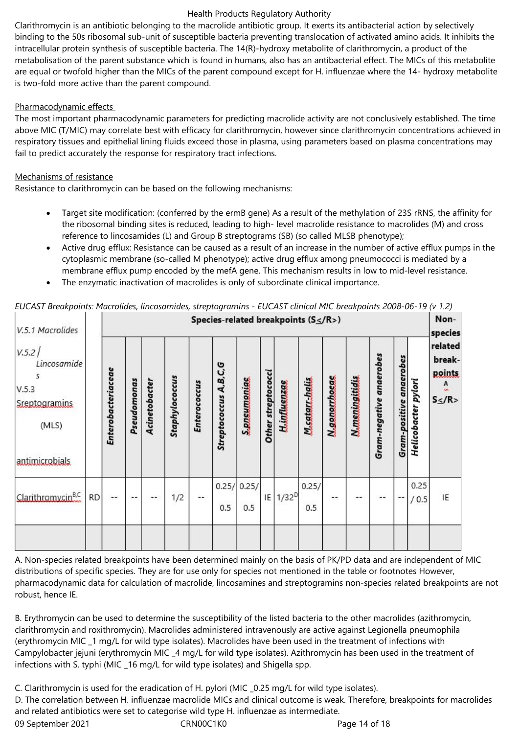Clarithromycin is an antibiotic belonging to the macrolide antibiotic group. It exerts its antibacterial action by selectively binding to the 50s ribosomal sub-unit of susceptible bacteria preventing translocation of activated amino acids. It inhibits the intracellular protein synthesis of susceptible bacteria. The 14(R)-hydroxy metabolite of clarithromycin, a product of the metabolisation of the parent substance which is found in humans, also has an antibacterial effect. The MICs of this metabolite are equal or twofold higher than the MICs of the parent compound except for H. influenzae where the 14- hydroxy metabolite is two-fold more active than the parent compound.

# Pharmacodynamic effects

The most important pharmacodynamic parameters for predicting macrolide activity are not conclusively established. The time above MIC (T/MIC) may correlate best with efficacy for clarithromycin, however since clarithromycin concentrations achieved in respiratory tissues and epithelial lining fluids exceed those in plasma, using parameters based on plasma concentrations may fail to predict accurately the response for respiratory tract infections.

# Mechanisms of resistance

Resistance to clarithromycin can be based on the following mechanisms:

- Target site modification: (conferred by the ermB gene) As a result of the methylation of 23S rRNS, the affinity for the ribosomal binding sites is reduced, leading to high- level macrolide resistance to macrolides (M) and cross reference to lincosamides (L) and Group B streptograms (SB) (so called MLSB phenotype);
- Active drug efflux: Resistance can be caused as a result of an increase in the number of active efflux pumps in the cytoplasmic membrane (so-called M phenotype); active drug efflux among pneumococci is mediated by a membrane efflux pump encoded by the mefA gene. This mechanism results in low to mid-level resistance.
- The enzymatic inactivation of macrolides is only of subordinate clinical importance.

| V.5.1 Macrolides<br>V.5.2/<br>Lincosamide<br>5<br>V.5.3<br>Sreptogramins<br>(MLS) |           | Enterobacteriaceae | Pseudomonas | Acinetobacter | Staphylococcus | Enterococcus | Species-related breakpoints $(S \leq /R>)$<br>Streptococcus A,B,C,G | S.pneumeniae      | Other streptococci | Huddusasse | M.satarr_halis | <b>N</b> generrheege | <b>M.meningitidis</b> | Gram-negative anaerobes | <b>Gram-positive anaerobes</b> | Helicobacter pylori | Non-<br>species<br>related<br>break-<br>points.<br>A<br>$S \leq /R$ |
|-----------------------------------------------------------------------------------|-----------|--------------------|-------------|---------------|----------------|--------------|---------------------------------------------------------------------|-------------------|--------------------|------------|----------------|----------------------|-----------------------|-------------------------|--------------------------------|---------------------|---------------------------------------------------------------------|
| antimicrobials                                                                    |           |                    |             |               |                |              |                                                                     |                   |                    |            |                |                      |                       |                         |                                |                     |                                                                     |
| Clarithromycin <sup>B,C</sup>                                                     | <b>RD</b> | $- -$              | $- -$       |               | 1/2            |              | 0.5                                                                 | 0.25/0.25/<br>0.5 | IE                 | $1/32^{D}$ | 0.25/<br>0.5   |                      | --                    | --                      | $ \sim$                        | 0.25<br>/ 0.5       | IE                                                                  |
|                                                                                   |           |                    |             |               |                |              |                                                                     |                   |                    |            |                |                      |                       |                         |                                |                     |                                                                     |

*EUCAST Breakpoints: Macrolides, lincosamides, streptogramins - EUCAST clinical MIC breakpoints 2008-06-19 (v 1.2)*

A. Non-species related breakpoints have been determined mainly on the basis of PK/PD data and are independent of MIC distributions of specific species. They are for use only for species not mentioned in the table or footnotes However, pharmacodynamic data for calculation of macrolide, lincosamines and streptogramins non-species related breakpoints are not robust, hence IE.

B. Erythromycin can be used to determine the susceptibility of the listed bacteria to the other macrolides (azithromycin, clarithromycin and roxithromycin). Macrolides administered intravenously are active against Legionella pneumophila (erythromycin MIC \_1 mg/L for wild type isolates). Macrolides have been used in the treatment of infections with Campylobacter jejuni (erythromycin MIC \_4 mg/L for wild type isolates). Azithromycin has been used in the treatment of infections with S. typhi (MIC \_16 mg/L for wild type isolates) and Shigella spp.

09 September 2021 CRN00C1K0 Page 14 of 18 C. Clarithromycin is used for the eradication of H. pylori (MIC \_0.25 mg/L for wild type isolates). D. The correlation between H. influenzae macrolide MICs and clinical outcome is weak. Therefore, breakpoints for macrolides and related antibiotics were set to categorise wild type H. influenzae as intermediate.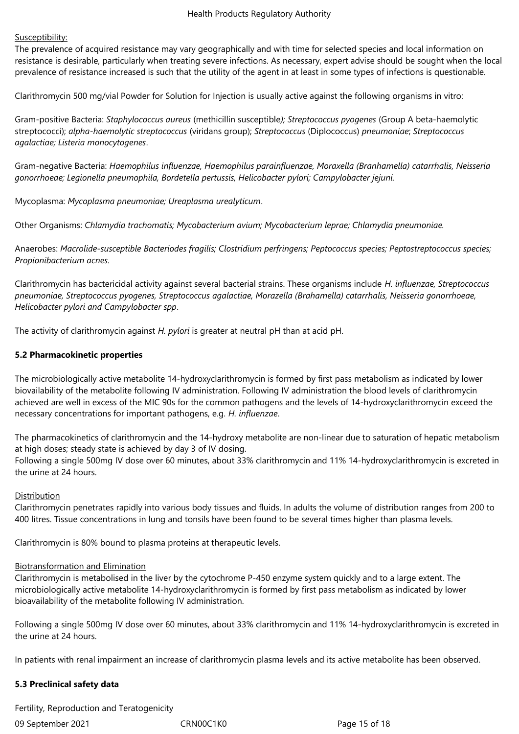## Susceptibility:

The prevalence of acquired resistance may vary geographically and with time for selected species and local information on resistance is desirable, particularly when treating severe infections. As necessary, expert advise should be sought when the local prevalence of resistance increased is such that the utility of the agent in at least in some types of infections is questionable.

Clarithromycin 500 mg/vial Powder for Solution for Injection is usually active against the following organisms in vitro:

Gram-positive Bacteria: *Staphylococcus aureus* (methicillin susceptible*); Streptococcus pyogenes* (Group A beta-haemolytic streptococci); *alpha-haemolytic streptococcus* (viridans group); *Streptococcus* (Diplococcus) *pneumoniae*; *Streptococcus agalactiae; Listeria monocytogenes*.

Gram-negative Bacteria: *Haemophilus influenzae, Haemophilus parainfluenzae, Moraxella (Branhamella) catarrhalis, Neisseria gonorrhoeae; Legionella pneumophila, Bordetella pertussis, Helicobacter pylori; Campylobacter jejuni.*

Mycoplasma: *Mycoplasma pneumoniae; Ureaplasma urealyticum*.

Other Organisms: *Chlamydia trachomatis; Mycobacterium avium; Mycobacterium leprae; Chlamydia pneumoniae.*

Anaerobes: *Macrolide-susceptible Bacteriodes fragilis; Clostridium perfringens; Peptococcus species; Peptostreptococcus species; Propionibacterium acnes.*

Clarithromycin has bactericidal activity against several bacterial strains. These organisms include *H. influenzae, Streptococcus pneumoniae, Streptococcus pyogenes, Streptococcus agalactiae, Morazella (Brahamella) catarrhalis, Neisseria gonorrhoeae, Helicobacter pylori and Campylobacter spp*.

The activity of clarithromycin against *H. pylori* is greater at neutral pH than at acid pH.

## **5.2 Pharmacokinetic properties**

The microbiologically active metabolite 14-hydroxyclarithromycin is formed by first pass metabolism as indicated by lower biovailability of the metabolite following IV administration. Following IV administration the blood levels of clarithromycin achieved are well in excess of the MIC 90s for the common pathogens and the levels of 14-hydroxyclarithromycin exceed the necessary concentrations for important pathogens, e.g. *H. influenzae*.

The pharmacokinetics of clarithromycin and the 14-hydroxy metabolite are non-linear due to saturation of hepatic metabolism at high doses; steady state is achieved by day 3 of IV dosing. Following a single 500mg IV dose over 60 minutes, about 33% clarithromycin and 11% 14-hydroxyclarithromycin is excreted in the urine at 24 hours.

## Distribution

Clarithromycin penetrates rapidly into various body tissues and fluids. In adults the volume of distribution ranges from 200 to 400 litres. Tissue concentrations in lung and tonsils have been found to be several times higher than plasma levels.

Clarithromycin is 80% bound to plasma proteins at therapeutic levels.

## Biotransformation and Elimination

Clarithromycin is metabolised in the liver by the cytochrome P-450 enzyme system quickly and to a large extent. The microbiologically active metabolite 14-hydroxyclarithromycin is formed by first pass metabolism as indicated by lower bioavailability of the metabolite following IV administration.

Following a single 500mg IV dose over 60 minutes, about 33% clarithromycin and 11% 14-hydroxyclarithromycin is excreted in the urine at 24 hours.

In patients with renal impairment an increase of clarithromycin plasma levels and its active metabolite has been observed.

## **5.3 Preclinical safety data**

Fertility, Reproduction and Teratogenicity

09 September 2021 CRN00C1K0 Page 15 of 18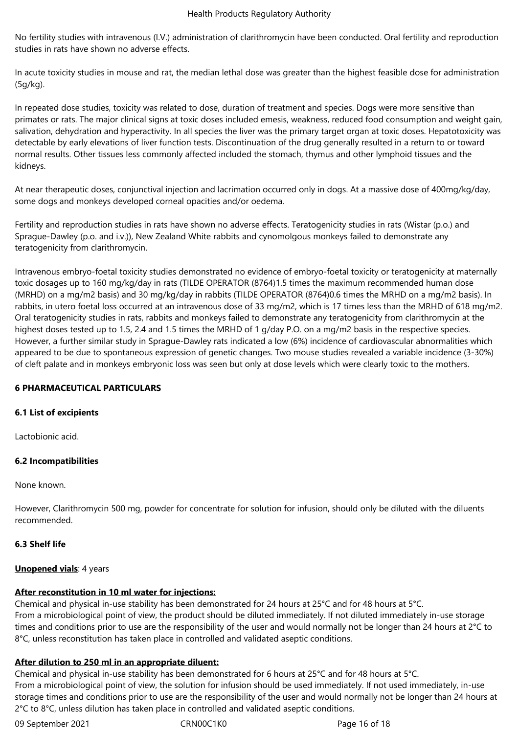No fertility studies with intravenous (I.V.) administration of clarithromycin have been conducted. Oral fertility and reproduction studies in rats have shown no adverse effects.

In acute toxicity studies in mouse and rat, the median lethal dose was greater than the highest feasible dose for administration (5g/kg).

In repeated dose studies, toxicity was related to dose, duration of treatment and species. Dogs were more sensitive than primates or rats. The major clinical signs at toxic doses included emesis, weakness, reduced food consumption and weight gain, salivation, dehydration and hyperactivity. In all species the liver was the primary target organ at toxic doses. Hepatotoxicity was detectable by early elevations of liver function tests. Discontinuation of the drug generally resulted in a return to or toward normal results. Other tissues less commonly affected included the stomach, thymus and other lymphoid tissues and the kidneys.

At near therapeutic doses, conjunctival injection and lacrimation occurred only in dogs. At a massive dose of 400mg/kg/day, some dogs and monkeys developed corneal opacities and/or oedema.

Fertility and reproduction studies in rats have shown no adverse effects. Teratogenicity studies in rats (Wistar (p.o.) and Sprague-Dawley (p.o. and i.v.)), New Zealand White rabbits and cynomolgous monkeys failed to demonstrate any teratogenicity from clarithromycin.

Intravenous embryo-foetal toxicity studies demonstrated no evidence of embryo-foetal toxicity or teratogenicity at maternally toxic dosages up to 160 mg/kg/day in rats (TILDE OPERATOR (8764)1.5 times the maximum recommended human dose (MRHD) on a mg/m2 basis) and 30 mg/kg/day in rabbits (TILDE OPERATOR (8764)0.6 times the MRHD on a mg/m2 basis). In rabbits, in utero foetal loss occurred at an intravenous dose of 33 mg/m2, which is 17 times less than the MRHD of 618 mg/m2. Oral teratogenicity studies in rats, rabbits and monkeys failed to demonstrate any teratogenicity from clarithromycin at the highest doses tested up to 1.5, 2.4 and 1.5 times the MRHD of 1 g/day P.O. on a mg/m2 basis in the respective species. However, a further similar study in Sprague-Dawley rats indicated a low (6%) incidence of cardiovascular abnormalities which appeared to be due to spontaneous expression of genetic changes. Two mouse studies revealed a variable incidence (3-30%) of cleft palate and in monkeys embryonic loss was seen but only at dose levels which were clearly toxic to the mothers.

# **6 PHARMACEUTICAL PARTICULARS**

# **6.1 List of excipients**

Lactobionic acid.

# **6.2 Incompatibilities**

None known.

However, Clarithromycin 500 mg, powder for concentrate for solution for infusion, should only be diluted with the diluents recommended.

# **6.3 Shelf life**

## **Unopened vials: 4 years**

# **After reconstitution in 10 ml water for injections:**

Chemical and physical in-use stability has been demonstrated for 24 hours at 25°C and for 48 hours at 5°C. From a microbiological point of view, the product should be diluted immediately. If not diluted immediately in-use storage times and conditions prior to use are the responsibility of the user and would normally not be longer than 24 hours at 2°C to 8°C, unless reconstitution has taken place in controlled and validated aseptic conditions.

# **After dilution to 250 ml in an appropriate diluent:**

Chemical and physical in-use stability has been demonstrated for 6 hours at 25°C and for 48 hours at 5°C. From a microbiological point of view, the solution for infusion should be used immediately. If not used immediately, in-use storage times and conditions prior to use are the responsibility of the user and would normally not be longer than 24 hours at 2°C to 8°C, unless dilution has taken place in controlled and validated aseptic conditions.

09 September 2021 CRN00C1K0 Page 16 of 18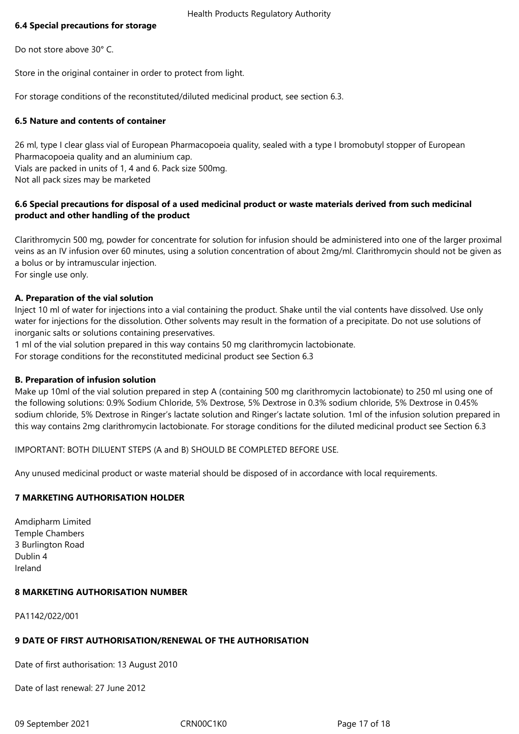## **6.4 Special precautions for storage**

Do not store above 30° C.

Store in the original container in order to protect from light.

For storage conditions of the reconstituted/diluted medicinal product, see section 6.3.

# **6.5 Nature and contents of container**

26 ml, type I clear glass vial of European Pharmacopoeia quality, sealed with a type I bromobutyl stopper of European Pharmacopoeia quality and an aluminium cap. Vials are packed in units of 1, 4 and 6. Pack size 500mg. Not all pack sizes may be marketed

# **6.6 Special precautions for disposal of a used medicinal product or waste materials derived from such medicinal product and other handling of the product**

Clarithromycin 500 mg, powder for concentrate for solution for infusion should be administered into one of the larger proximal veins as an IV infusion over 60 minutes, using a solution concentration of about 2mg/ml. Clarithromycin should not be given as a bolus or by intramuscular injection. For single use only.

# **A. Preparation of the vial solution**

Inject 10 ml of water for injections into a vial containing the product. Shake until the vial contents have dissolved. Use only water for injections for the dissolution. Other solvents may result in the formation of a precipitate. Do not use solutions of inorganic salts or solutions containing preservatives.

1 ml of the vial solution prepared in this way contains 50 mg clarithromycin lactobionate.

For storage conditions for the reconstituted medicinal product see Section 6.3

# **B. Preparation of infusion solution**

Make up 10ml of the vial solution prepared in step A (containing 500 mg clarithromycin lactobionate) to 250 ml using one of the following solutions: 0.9% Sodium Chloride, 5% Dextrose, 5% Dextrose in 0.3% sodium chloride, 5% Dextrose in 0.45% sodium chloride, 5% Dextrose in Ringer's lactate solution and Ringer's lactate solution. 1ml of the infusion solution prepared in this way contains 2mg clarithromycin lactobionate. For storage conditions for the diluted medicinal product see Section 6.3

IMPORTANT: BOTH DILUENT STEPS (A and B) SHOULD BE COMPLETED BEFORE USE.

Any unused medicinal product or waste material should be disposed of in accordance with local requirements.

# **7 MARKETING AUTHORISATION HOLDER**

Amdipharm Limited Temple Chambers 3 Burlington Road Dublin 4 Ireland

## **8 MARKETING AUTHORISATION NUMBER**

PA1142/022/001

# **9 DATE OF FIRST AUTHORISATION/RENEWAL OF THE AUTHORISATION**

Date of first authorisation: 13 August 2010

Date of last renewal: 27 June 2012

09 September 2021 CRN00C1K0 Page 17 of 18